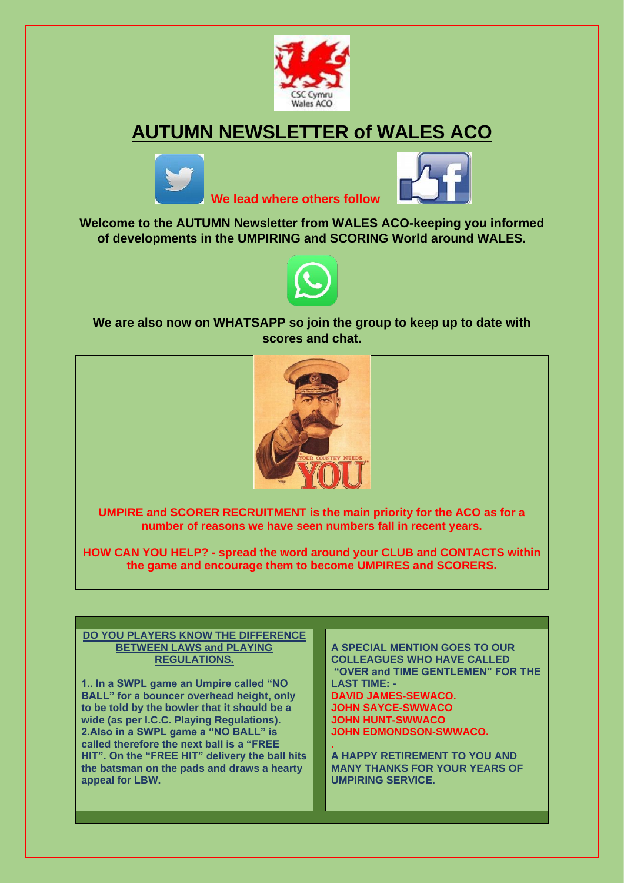

# **AUTUMN NEWSLETTER of WALES ACO**





**Welcome to the AUTUMN Newsletter from WALES ACO-keeping you informed of developments in the UMPIRING and SCORING World around WALES.**

 **We lead where others follow** 



**We are also now on WHATSAPP so join the group to keep up to date with scores and chat.**



**UMPIRE and SCORER RECRUITMENT is the main priority for the ACO as for a number of reasons we have seen numbers fall in recent years.**

**HOW CAN YOU HELP? - spread the word around your CLUB and CONTACTS within the game and encourage them to become UMPIRES and SCORERS.**

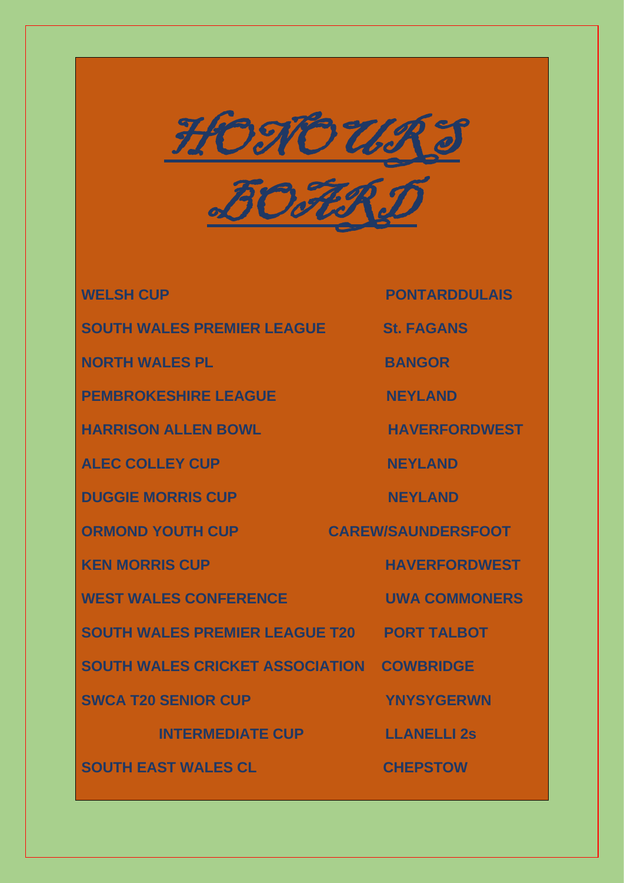

**BOARD** 

**SOUTH WALES PREMIER LEAGUE St. FAGANS**

**NORTH WALES PLACE CONTRACT BANGOR** 

**PEMBROKESHIRE LEAGUE NEYLAND** 

**HARRISON ALLEN BOWL HAVERFORDWEST** 

**ALEC COLLEY CUP** NEYLAND

**DUGGIE MORRIS CUP NEYLAND** 

WEST WALES CONFERENCE **WALES CONFERENCE** 

**SOUTH WALES PREMIER LEAGUE T20 PORT TALBOT**

**SOUTH WALES CRICKET ASSOCIATION COWBRIDGE**

**SWCA T20 SENIOR CUP YNYSYGERWN** 

**INTERMEDIATE CUP LEANELLI 2s** 

**SOUTH EAST WALES CL CHEPSTOW**

**WELSH CUP PONTARDDULAIS** 

**ORMOND YOUTH CUP CAREW/SAUNDERSFOOT** 

**KEN MORRIS CUP HAVERFORDWEST**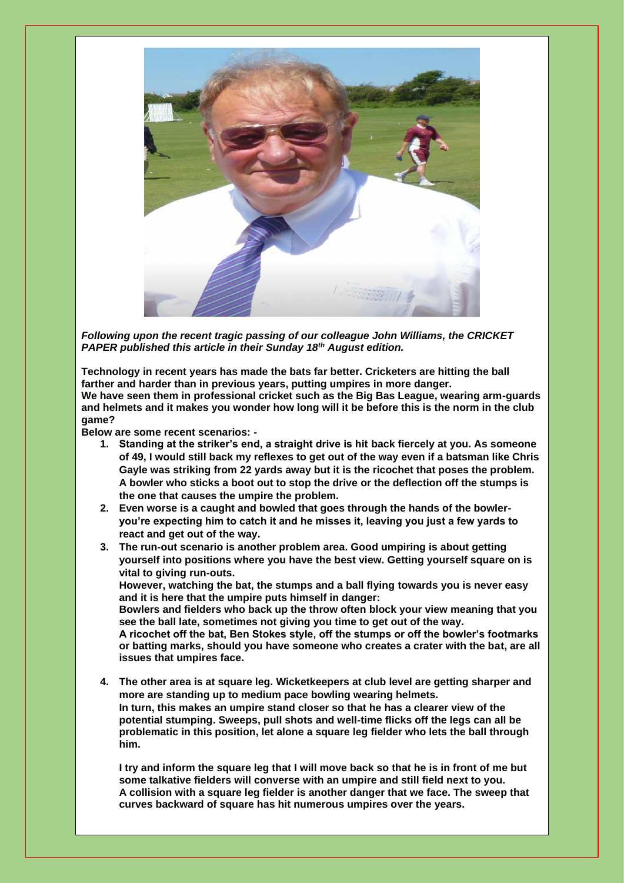

*Following upon the recent tragic passing of our colleague John Williams, the CRICKET PAPER published this article in their Sunday 18th August edition.*

**Technology in recent years has made the bats far better. Cricketers are hitting the ball farther and harder than in previous years, putting umpires in more danger. We have seen them in professional cricket such as the Big Bas League, wearing arm-guards and helmets and it makes you wonder how long will it be before this is the norm in the club game?**

**Below are some recent scenarios: -**

- **1. Standing at the striker's end, a straight drive is hit back fiercely at you. As someone of 49, I would still back my reflexes to get out of the way even if a batsman like Chris Gayle was striking from 22 yards away but it is the ricochet that poses the problem. A bowler who sticks a boot out to stop the drive or the deflection off the stumps is the one that causes the umpire the problem.**
- **2. Even worse is a caught and bowled that goes through the hands of the bowleryou're expecting him to catch it and he misses it, leaving you just a few yards to react and get out of the way.**
- **3. The run-out scenario is another problem area. Good umpiring is about getting yourself into positions where you have the best view. Getting yourself square on is vital to giving run-outs.**

**However, watching the bat, the stumps and a ball flying towards you is never easy and it is here that the umpire puts himself in danger:**

**Bowlers and fielders who back up the throw often block your view meaning that you see the ball late, sometimes not giving you time to get out of the way.**

**A ricochet off the bat, Ben Stokes style, off the stumps or off the bowler's footmarks or batting marks, should you have someone who creates a crater with the bat, are all issues that umpires face.**

**4. The other area is at square leg. Wicketkeepers at club level are getting sharper and more are standing up to medium pace bowling wearing helmets. In turn, this makes an umpire stand closer so that he has a clearer view of the potential stumping. Sweeps, pull shots and well-time flicks off the legs can all be problematic in this position, let alone a square leg fielder who lets the ball through him.**

**I try and inform the square leg that I will move back so that he is in front of me but some talkative fielders will converse with an umpire and still field next to you. A collision with a square leg fielder is another danger that we face. The sweep that curves backward of square has hit numerous umpires over the years.**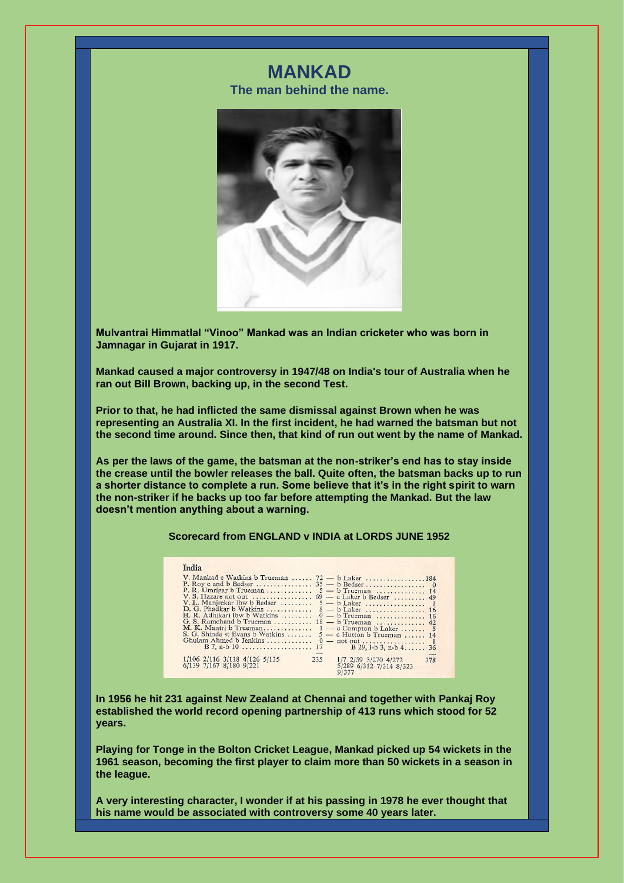# **MANKAD**

**The man behind the name.**



**Mulvantrai Himmatlal "Vinoo" Mankad was an Indian cricketer who was born in Jamnagar in Gujarat in 1917.**

**Mankad caused a major controversy in 1947/48 on India's tour of Australia when he ran out Bill Brown, backing up, in the second Test.**

**Prior to that, he had inflicted the same dismissal against Brown when he was representing an Australia XI. In the first incident, he had warned the batsman but not the second time around. Since then, that kind of run out went by the name of Mankad.**

**As per the laws of the game, the batsman at the non-striker's end has to stay inside the crease until the bowler releases the ball. Quite often, the batsman backs up to run a shorter distance to complete a run. Some believe that it's in the right spirit to warn the non-striker if he backs up too far before attempting the Mankad. But the law doesn't mention anything about a warning.**

#### **Scorecard from ENGLAND v INDIA at LORDS JUNE 1952**

| India                                                                                                                                                   |
|---------------------------------------------------------------------------------------------------------------------------------------------------------|
| V. Mankad c Watkins b Trueman<br>$72 - b$ Laker 184                                                                                                     |
| P. R. Umrigar b Trueman<br>$5 - b$ Trueman  14                                                                                                          |
| V. L. Manjrekar Ibw b Bedser<br>$5 - b$ Laker  1<br>D. G. Phadkar b Watkins<br>$8 - b$ Laker  16<br>H. R. Adhikari Ibw b Watkins<br>$0 - b$ Trueman  16 |
| G. S. Ramchand b Trueman<br>$18 - b$ Trueman  42<br>M. K. Mantri b Trueman<br>$1 - c$ Compton b Laker  5                                                |
| S. G. Shinde st Evans b Watkins<br>$5 - c$ Hutton b Trueman  14<br>Ghulam Ahmed b Jenkins                                                               |
| 1/106 2/116 3/118 4/126 5/135<br>6/139 7/167 8/180 9/221<br>235<br>1/7 2/59 3/270 4/272<br>378<br>5/289 6/312 7/314 8/323<br>9/377                      |

**In 1956 he hit 231 against New Zealand at Chennai and together with Pankaj Roy established the world record opening partnership of 413 runs which stood for 52 years.**

**Playing for Tonge in the Bolton Cricket League, Mankad picked up 54 wickets in the 1961 season, becoming the first player to claim more than 50 wickets in a season in the league.**

**A very interesting character, I wonder if at his passing in 1978 he ever thought that his name would be associated with controversy some 40 years later.**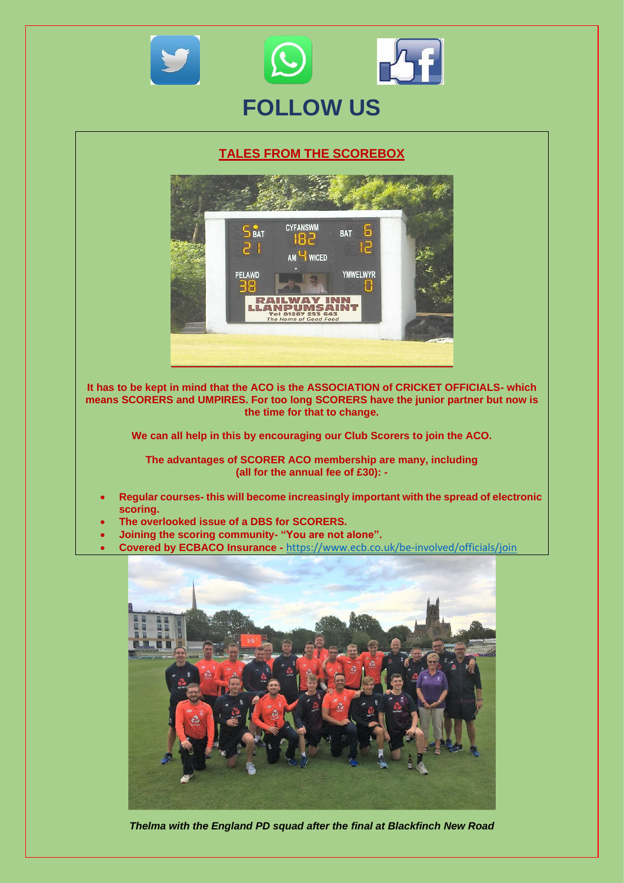

#### **TALES FROM THE SCOREBOX**



**It has to be kept in mind that the ACO is the ASSOCIATION of CRICKET OFFICIALS- which means SCORERS and UMPIRES. For too long SCORERS have the junior partner but now is the time for that to change.**

**We can all help in this by encouraging our Club Scorers to join the ACO.**

**The advantages of SCORER ACO membership are many, including (all for the annual fee of £30): -**

- **Regular courses- this will become increasingly important with the spread of electronic scoring.**
- **The overlooked issue of a DBS for SCORERS.**
- **Joining the scoring community- "You are not alone".**
- **Covered by ECBACO Insurance -** <https://www.ecb.co.uk/be-involved/officials/join>



*Thelma with the England PD squad after the final at Blackfinch New Road*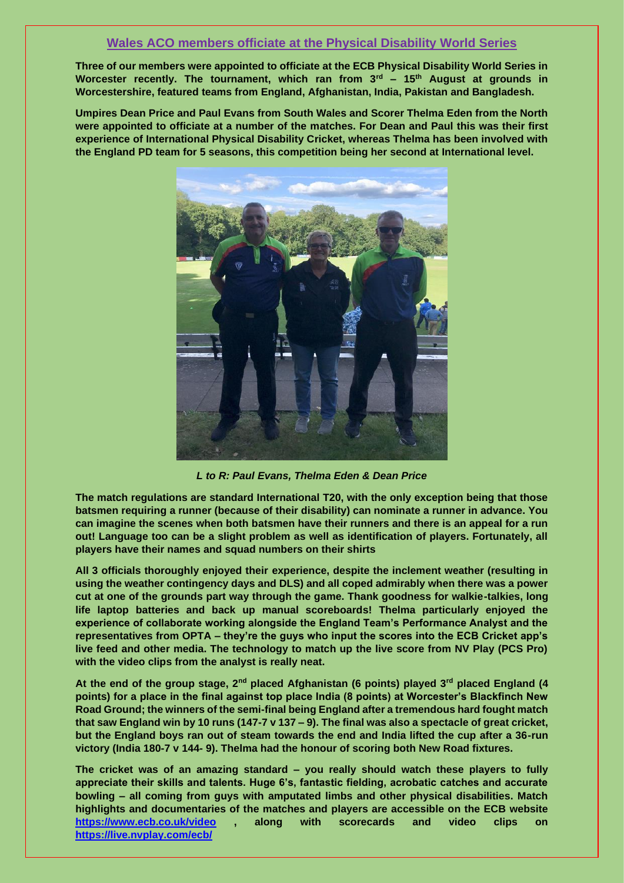### **Wales ACO members officiate at the Physical Disability World Series**

**Three of our members were appointed to officiate at the ECB Physical Disability World Series in Worcester recently. The tournament, which ran from 3rd – 15th August at grounds in Worcestershire, featured teams from England, Afghanistan, India, Pakistan and Bangladesh.**

**Umpires Dean Price and Paul Evans from South Wales and Scorer Thelma Eden from the North were appointed to officiate at a number of the matches. For Dean and Paul this was their first experience of International Physical Disability Cricket, whereas Thelma has been involved with the England PD team for 5 seasons, this competition being her second at International level.**



*L to R: Paul Evans, Thelma Eden & Dean Price*

**The match regulations are standard International T20, with the only exception being that those batsmen requiring a runner (because of their disability) can nominate a runner in advance. You can imagine the scenes when both batsmen have their runners and there is an appeal for a run out! Language too can be a slight problem as well as identification of players. Fortunately, all players have their names and squad numbers on their shirts** 

**All 3 officials thoroughly enjoyed their experience, despite the inclement weather (resulting in using the weather contingency days and DLS) and all coped admirably when there was a power cut at one of the grounds part way through the game. Thank goodness for walkie-talkies, long life laptop batteries and back up manual scoreboards! Thelma particularly enjoyed the experience of collaborate working alongside the England Team's Performance Analyst and the representatives from OPTA – they're the guys who input the scores into the ECB Cricket app's live feed and other media. The technology to match up the live score from NV Play (PCS Pro) with the video clips from the analyst is really neat.**

**At the end of the group stage, 2nd placed Afghanistan (6 points) played 3rd placed England (4 points) for a place in the final against top place India (8 points) at Worcester's Blackfinch New Road Ground; the winners of the semi-final being England after a tremendous hard fought match that saw England win by 10 runs (147-7 v 137 – 9). The final was also a spectacle of great cricket, but the England boys ran out of steam towards the end and India lifted the cup after a 36-run victory (India 180-7 v 144- 9). Thelma had the honour of scoring both New Road fixtures.**

**The cricket was of an amazing standard – you really should watch these players to fully appreciate their skills and talents. Huge 6's, fantastic fielding, acrobatic catches and accurate bowling – all coming from guys with amputated limbs and other physical disabilities. Match highlights and documentaries of the matches and players are accessible on the ECB website <https://www.ecb.co.uk/video> , along with scorecards and video clips on <https://live.nvplay.com/ecb/>**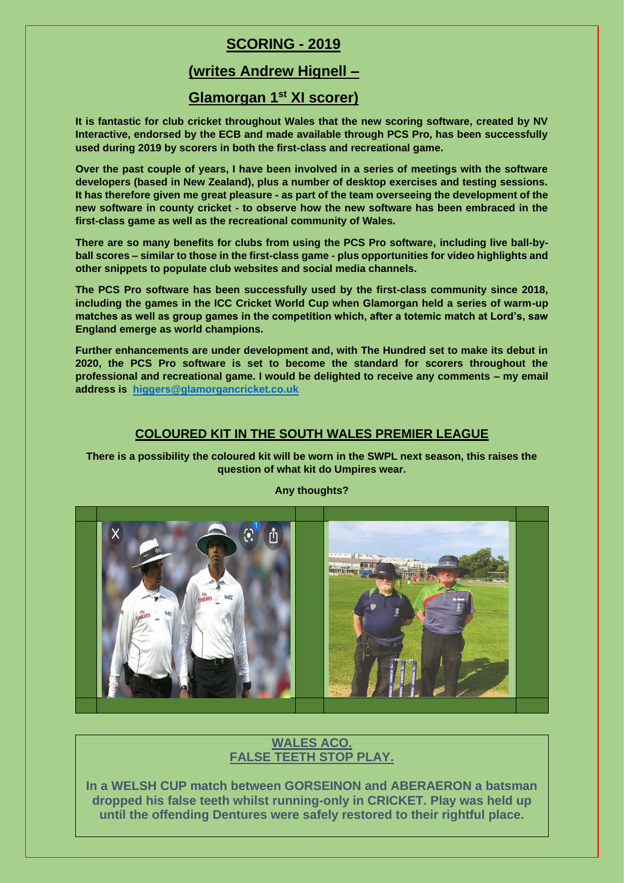## **SCORING - 2019**

## **(writes Andrew Hignell –**

## **Glamorgan 1st XI scorer)**

**It is fantastic for club cricket throughout Wales that the new scoring software, created by NV Interactive, endorsed by the ECB and made available through PCS Pro, has been successfully used during 2019 by scorers in both the first-class and recreational game.** 

**Over the past couple of years, I have been involved in a series of meetings with the software developers (based in New Zealand), plus a number of desktop exercises and testing sessions. It has therefore given me great pleasure - as part of the team overseeing the development of the new software in county cricket - to observe how the new software has been embraced in the first-class game as well as the recreational community of Wales.**

**There are so many benefits for clubs from using the PCS Pro software, including live ball-byball scores – similar to those in the first-class game - plus opportunities for video highlights and other snippets to populate club websites and social media channels.**

**The PCS Pro software has been successfully used by the first-class community since 2018, including the games in the ICC Cricket World Cup when Glamorgan held a series of warm-up matches as well as group games in the competition which, after a totemic match at Lord's, saw England emerge as world champions.**

**Further enhancements are under development and, with The Hundred set to make its debut in 2020, the PCS Pro software is set to become the standard for scorers throughout the professional and recreational game. I would be delighted to receive any comments – my email address is [higgers@glamorgancricket.co.uk](mailto:higgers@glamorgancricket.com)**

#### **COLOURED KIT IN THE SOUTH WALES PREMIER LEAGUE**

**There is a possibility the coloured kit will be worn in the SWPL next season, this raises the question of what kit do Umpires wear.**



#### **Any thoughts?**

### **WALES ACO. FALSE TEETH STOP PLAY.**

**In a WELSH CUP match between GORSEINON and ABERAERON a batsman dropped his false teeth whilst running-only in CRICKET. Play was held up until the offending Dentures were safely restored to their rightful place.**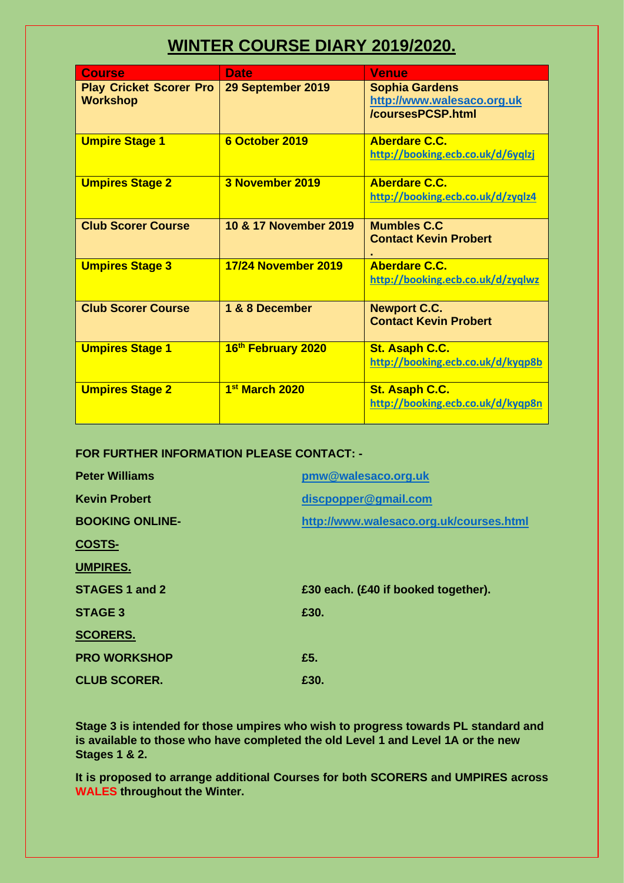# **WINTER COURSE DIARY 2019/2020.**

| <b>Course</b>                  | <b>Date</b>                | <b>Venue</b>                      |
|--------------------------------|----------------------------|-----------------------------------|
| <b>Play Cricket Scorer Pro</b> | 29 September 2019          | <b>Sophia Gardens</b>             |
| <b>Workshop</b>                |                            | http://www.walesaco.org.uk        |
|                                |                            | /coursesPCSP.html                 |
| <b>Umpire Stage 1</b>          | 6 October 2019             | <b>Aberdare C.C.</b>              |
|                                |                            | http://booking.ecb.co.uk/d/6yqlzj |
|                                |                            |                                   |
| <b>Umpires Stage 2</b>         | 3 November 2019            | Aberdare C.C.                     |
|                                |                            | http://booking.ecb.co.uk/d/zyqlz4 |
|                                |                            |                                   |
| <b>Club Scorer Course</b>      | 10 & 17 November 2019      | <b>Mumbles C.C.</b>               |
|                                |                            | <b>Contact Kevin Probert</b>      |
|                                |                            |                                   |
| <b>Umpires Stage 3</b>         | <b>17/24 November 2019</b> | Aberdare C.C.                     |
|                                |                            | http://booking.ecb.co.uk/d/zyqlwz |
|                                |                            |                                   |
| <b>Club Scorer Course</b>      | 1 & 8 December             | <b>Newport C.C.</b>               |
|                                |                            | <b>Contact Kevin Probert</b>      |
| <b>Umpires Stage 1</b>         | 16th February 2020         | St. Asaph C.C.                    |
|                                |                            | http://booking.ecb.co.uk/d/kyqp8b |
|                                |                            |                                   |
| <b>Umpires Stage 2</b>         | 1st March 2020             | St. Asaph C.C.                    |
|                                |                            | http://booking.ecb.co.uk/d/kyqp8n |
|                                |                            |                                   |

**FOR FURTHER INFORMATION PLEASE CONTACT: -**

| <b>Peter Williams</b>  | pmw@walesaco.org.uk                     |
|------------------------|-----------------------------------------|
| <b>Kevin Probert</b>   | discpopper@gmail.com                    |
| <b>BOOKING ONLINE-</b> | http://www.walesaco.org.uk/courses.html |
| <b>COSTS-</b>          |                                         |
| <b>UMPIRES.</b>        |                                         |
|                        |                                         |
| STAGES 1 and 2         | £30 each. (£40 if booked together).     |
| <b>STAGE 3</b>         | £30.                                    |
| <b>SCORERS.</b>        |                                         |
| <b>PRO WORKSHOP</b>    | £5.                                     |

**Stage 3 is intended for those umpires who wish to progress towards PL standard and is available to those who have completed the old Level 1 and Level 1A or the new Stages 1 & 2.**

**It is proposed to arrange additional Courses for both SCORERS and UMPIRES across WALES throughout the Winter.**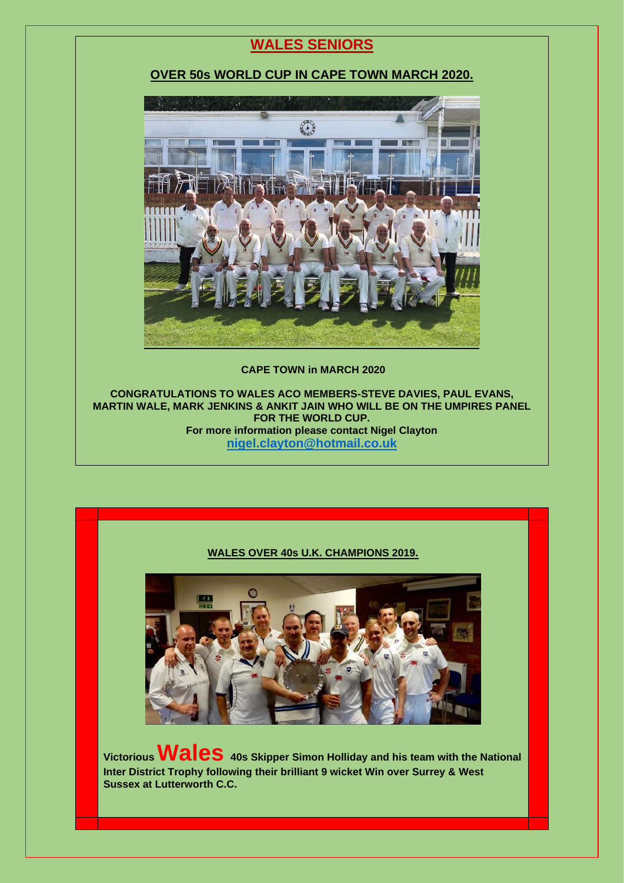## **WALES SENIORS**

### **OVER 50s WORLD CUP IN CAPE TOWN MARCH 2020.**



#### **CAPE TOWN in MARCH 2020**

**CONGRATULATIONS TO WALES ACO MEMBERS-STEVE DAVIES, PAUL EVANS, MARTIN WALE, MARK JENKINS & ANKIT JAIN WHO WILL BE ON THE UMPIRES PANEL FOR THE WORLD CUP. For more information please contact Nigel Clayton [nigel.clayton@hotmail.co.uk](mailto:nigel.clayton@hotmail.co.uk)**

#### **WALES OVER 40s U.K. CHAMPIONS 2019.**



**Victorious Wales 40s Skipper Simon Holliday and his team with the National Inter District Trophy following their brilliant 9 wicket Win over Surrey & West Sussex at Lutterworth C.C.**